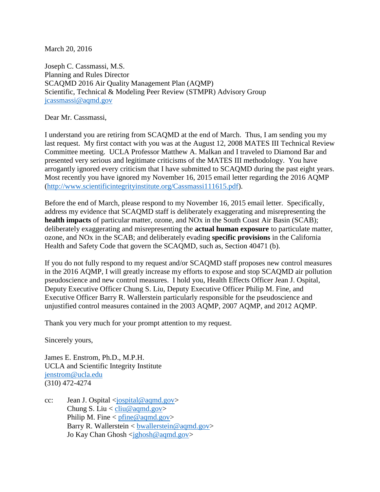March 20, 2016

Joseph C. Cassmassi, M.S. Planning and Rules Director SCAQMD 2016 Air Quality Management Plan (AQMP) Scientific, Technical & Modeling Peer Review (STMPR) Advisory Group [jcassmassi@aqmd.gov](mailto:jcassmassi@aqmd.gov)

Dear Mr. Cassmassi,

I understand you are retiring from SCAQMD at the end of March. Thus, I am sending you my last request. My first contact with you was at the August 12, 2008 MATES III Technical Review Committee meeting. UCLA Professor Matthew A. Malkan and I traveled to Diamond Bar and presented very serious and legitimate criticisms of the MATES III methodology. You have arrogantly ignored every criticism that I have submitted to SCAQMD during the past eight years. Most recently you have ignored my November 16, 2015 email letter regarding the 2016 AQMP [\(http://www.scientificintegrityinstitute.org/Cassmassi111615.pdf\)](http://scientificintegrityinstitute.org/Cassmassi111615.pdf).

Before the end of March, please respond to my November 16, 2015 email letter. Specifically, address my evidence that SCAQMD staff is deliberately exaggerating and misrepresenting the **health impacts** of particular matter, ozone, and NOx in the South Coast Air Basin (SCAB); deliberately exaggerating and misrepresenting the **actual human exposure** to particulate matter, ozone, and NOx in the SCAB; and deliberately evading **specific provisions** in the California Health and Safety Code that govern the SCAQMD, such as, Section 40471 (b).

If you do not fully respond to my request and/or SCAQMD staff proposes new control measures in the 2016 AQMP, I will greatly increase my efforts to expose and stop SCAQMD air pollution pseudoscience and new control measures. I hold you, Health Effects Officer Jean J. Ospital, Deputy Executive Officer Chung S. Liu, Deputy Executive Officer Philip M. Fine, and Executive Officer Barry R. Wallerstein particularly responsible for the pseudoscience and unjustified control measures contained in the 2003 AQMP, 2007 AQMP, and 2012 AQMP.

Thank you very much for your prompt attention to my request.

Sincerely yours,

James E. Enstrom, Ph.D., M.P.H. UCLA and Scientific Integrity Institute [jenstrom@ucla.edu](mailto:jenstrom@ucla.edu) (310) 472-4274

cc: Jean J. Ospital  $\langle$ jospital@aqmd.gov> Chung S. Liu  $\langle$  [cliu@aqmd.gov>](mailto:cliu@aqmd.gov) Philip M. Fine  $\langle$  pfine @ aqmd.gov> Barry R. Wallerstein < [bwallerstein@aqmd.gov>](mailto:bwallerstein@aqmd.org) Jo Kay Chan Ghosh <ighosh@aqmd.gov>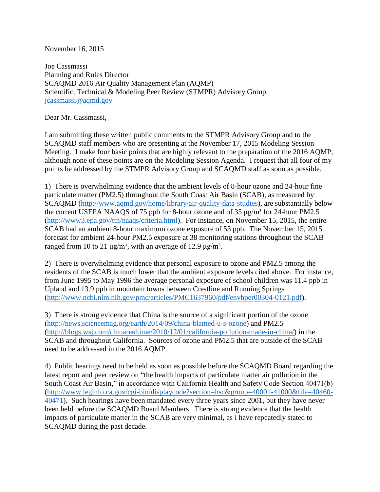November 16, 2015

Joe Cassmassi Planning and Rules Director SCAQMD 2016 Air Quality Management Plan (AQMP) Scientific, Technical & Modeling Peer Review (STMPR) Advisory Group [jcassmassi@aqmd.gov](mailto:jcassmassi@aqmd.gov)

Dear Mr. Cassmassi,

I am submitting these written public comments to the STMPR Advisory Group and to the SCAQMD staff members who are presenting at the November 17, 2015 Modeling Session Meeting. I make four basic points that are highly relevant to the preparation of the 2016 AQMP, although none of these points are on the Modeling Session Agenda. I request that all four of my points be addressed by the STMPR Advisory Group and SCAQMD staff as soon as possible.

1) There is overwhelming evidence that the ambient levels of 8-hour ozone and 24-hour fine particulate matter (PM2.5) throughout the South Coast Air Basin (SCAB), as measured by SCAQMD [\(http://www.aqmd.gov/home/library/air-quality-data-studies\)](http://www.aqmd.gov/home/library/air-quality-data-studies), are substantially below the current USEPA NAAQS of 75 ppb for 8-hour ozone and of 35  $\mu$ g/m<sup>3</sup> for 24-hour PM2.5 [\(http://www3.epa.gov/ttn/naaqs/criteria.html\)](http://www3.epa.gov/ttn/naaqs/criteria.html). For instance, on November 15, 2015, the entire SCAB had an ambient 8-hour maximum ozone exposure of 53 ppb. The November 15, 2015 forecast for ambient 24-hour PM2.5 exposure at 38 monitoring stations throughout the SCAB ranged from 10 to 21 μg/m<sup>3</sup>, with an average of 12.9 μg/m<sup>3</sup>.

2) There is overwhelming evidence that personal exposure to ozone and PM2.5 among the residents of the SCAB is much lower that the ambient exposure levels cited above. For instance, from June 1995 to May 1996 the average personal exposure of school children was 11.4 ppb in Upland and 13.9 ppb in mountain towns between Crestline and Running Springs [\(http://www.ncbi.nlm.nih.gov/pmc/articles/PMC1637960/pdf/envhper00304-0121.pdf\)](http://www.ncbi.nlm.nih.gov/pmc/articles/PMC1637960/pdf/envhper00304-0121.pdf).

3) There is strong evidence that China is the source of a significant portion of the ozone [\(http://news.sciencemag.org/earth/2014/09/china-blamed-u-s-ozone\)](http://news.sciencemag.org/earth/2014/09/china-blamed-u-s-ozone) and PM2.5 [\(http://blogs.wsj.com/chinarealtime/2010/12/01/california-pollution-made-in-china/\)](http://blogs.wsj.com/chinarealtime/2010/12/01/california-pollution-made-in-china/) in the SCAB and throughout California. Sources of ozone and PM2.5 that are outside of the SCAB need to be addressed in the 2016 AQMP.

4) Public hearings need to be held as soon as possible before the SCAQMD Board regarding the latest report and peer review on "the health impacts of particulate matter air pollution in the South Coast Air Basin," in accordance with California Health and Safety Code Section 40471(b) [\(http://www.leginfo.ca.gov/cgi-bin/displaycode?section=hsc&group=40001-41000&file=40460-](http://www.leginfo.ca.gov/cgi-bin/displaycode?section=hsc&group=40001-41000&file=40460-40471) [40471\)](http://www.leginfo.ca.gov/cgi-bin/displaycode?section=hsc&group=40001-41000&file=40460-40471). Such hearings have been mandated every three years since 2001, but they have never been held before the SCAQMD Board Members. There is strong evidence that the health impacts of particulate matter in the SCAB are very minimal, as I have repeatedly stated to SCAQMD during the past decade.